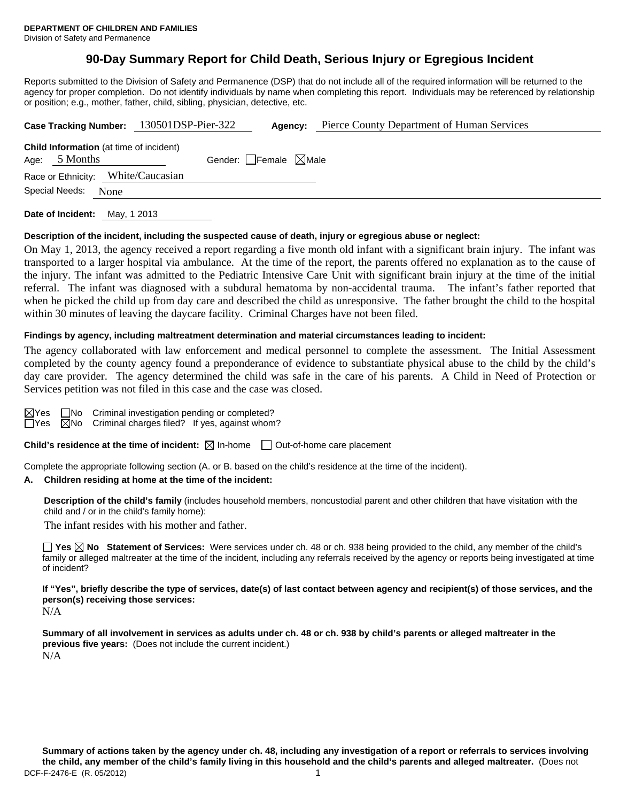# **90-Day Summary Report for Child Death, Serious Injury or Egregious Incident**

Reports submitted to the Division of Safety and Permanence (DSP) that do not include all of the required information will be returned to the agency for proper completion. Do not identify individuals by name when completing this report. Individuals may be referenced by relationship or position; e.g., mother, father, child, sibling, physician, detective, etc.

|                        |                 | Case Tracking Number: 130501DSP-Pier-322       |  | Agency:                         | Pierce County Department of Human Services |  |
|------------------------|-----------------|------------------------------------------------|--|---------------------------------|--------------------------------------------|--|
|                        | Age: $5$ Months | <b>Child Information</b> (at time of incident) |  | Gender: Female $\boxtimes$ Male |                                            |  |
|                        |                 | Race or Ethnicity: White/Caucasian             |  |                                 |                                            |  |
| Special Needs:<br>None |                 |                                                |  |                                 |                                            |  |
|                        |                 |                                                |  |                                 |                                            |  |

**Date of Incident:** May, 1 2013

### **Description of the incident, including the suspected cause of death, injury or egregious abuse or neglect:**

On May 1, 2013, the agency received a report regarding a five month old infant with a significant brain injury. The infant was transported to a larger hospital via ambulance. At the time of the report, the parents offered no explanation as to the cause of the injury. The infant was admitted to the Pediatric Intensive Care Unit with significant brain injury at the time of the initial referral. The infant was diagnosed with a subdural hematoma by non-accidental trauma. The infant's father reported that when he picked the child up from day care and described the child as unresponsive. The father brought the child to the hospital within 30 minutes of leaving the daycare facility. Criminal Charges have not been filed.

## **Findings by agency, including maltreatment determination and material circumstances leading to incident:**

The agency collaborated with law enforcement and medical personnel to complete the assessment. The Initial Assessment completed by the county agency found a preponderance of evidence to substantiate physical abuse to the child by the child's day care provider. The agency determined the child was safe in the care of his parents. A Child in Need of Protection or Services petition was not filed in this case and the case was closed.

|  | $\boxtimes$ Yes $\Box$ No Criminal investigation pending or completed? |  |
|--|------------------------------------------------------------------------|--|
|  | $\Box$ Yes $\Box$ No Criminal charges filed? If yes, against whom?     |  |

**Child's residence at the time of incident:**  $\boxtimes$  In-home  $\Box$  Out-of-home care placement

Complete the appropriate following section (A. or B. based on the child's residence at the time of the incident).

## **A. Children residing at home at the time of the incident:**

**Description of the child's family** (includes household members, noncustodial parent and other children that have visitation with the child and / or in the child's family home):

The infant resides with his mother and father.

**Yes No Statement of Services:** Were services under ch. 48 or ch. 938 being provided to the child, any member of the child's family or alleged maltreater at the time of the incident, including any referrals received by the agency or reports being investigated at time of incident?

**If "Yes", briefly describe the type of services, date(s) of last contact between agency and recipient(s) of those services, and the person(s) receiving those services:**  N/A

**Summary of all involvement in services as adults under ch. 48 or ch. 938 by child's parents or alleged maltreater in the previous five years:** (Does not include the current incident.) N/A